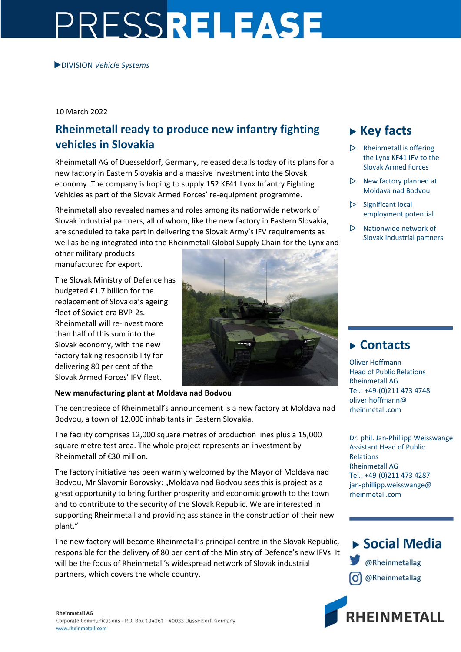# PRESSRELEASE

DIVISION *Vehicle Systems*

10 March 2022

## **Rheinmetall ready to produce new infantry fighting vehicles in Slovakia**

Rheinmetall AG of Duesseldorf, Germany, released details today of its plans for a new factory in Eastern Slovakia and a massive investment into the Slovak economy. The company is hoping to supply 152 KF41 Lynx Infantry Fighting Vehicles as part of the Slovak Armed Forces' re‐equipment programme.

Rheinmetall also revealed names and roles among its nationwide network of Slovak industrial partners, all of whom, like the new factory in Eastern Slovakia, are scheduled to take part in delivering the Slovak Army's IFV requirements as well as being integrated into the Rheinmetall Global Supply Chain for the Lynx and

other military products manufactured for export.

The Slovak Ministry of Defence has budgeted €1.7 billion for the replacement of Slovakia's ageing fleet of Soviet‐era BVP‐2s. Rheinmetall will re‐invest more than half of this sum into the Slovak economy, with the new factory taking responsibility for delivering 80 per cent of the Slovak Armed Forces' IFV fleet.



## **New manufacturing plant at Moldava nad Bodvou**

The centrepiece of Rheinmetall's announcement is a new factory at Moldava nad Bodvou, a town of 12,000 inhabitants in Eastern Slovakia.

The facility comprises 12,000 square metres of production lines plus a 15,000 square metre test area. The whole project represents an investment by Rheinmetall of €30 million.

The factory initiative has been warmly welcomed by the Mayor of Moldava nad Bodvou, Mr Slavomir Borovsky: "Moldava nad Bodvou sees this is project as a great opportunity to bring further prosperity and economic growth to the town and to contribute to the security of the Slovak Republic. We are interested in supporting Rheinmetall and providing assistance in the construction of their new plant."

The new factory will become Rheinmetall's principal centre in the Slovak Republic, responsible for the delivery of 80 per cent of the Ministry of Defence's new IFVs. It will be the focus of Rheinmetall's widespread network of Slovak industrial partners, which covers the whole country.

# **Key facts**

- $\triangleright$  Rheinmetall is offering the Lynx KF41 IFV to the Slovak Armed Forces
- $\triangleright$  New factory planned at Moldava nad Bodvou
- $\triangleright$  Significant local employment potential
- Nationwide network of Slovak industrial partners

## **Contacts**

Oliver Hoffmann Head of Public Relations Rheinmetall AG Tel.: +49‐(0)211 473 4748 oliver.hoffmann@ rheinmetall.com

Dr. phil. Jan‐Phillipp Weisswange Assistant Head of Public Relations Rheinmetall AG Tel.: +49‐(0)211 473 4287 jan-phillipp.weisswange@ rheinmetall.com



▶ Social Media